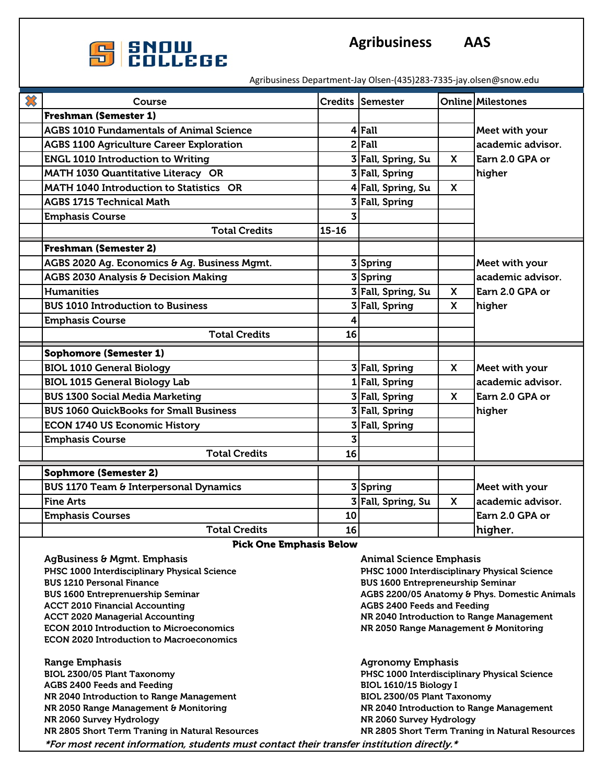

Agribusiness Department-Jay Olsen-(435)283-7335-jay.olsen@snow.edu

| $\boldsymbol{\mathcal{X}}$ | Course                                            |              | Credits Semester   |              | <b>Online Milestones</b> |
|----------------------------|---------------------------------------------------|--------------|--------------------|--------------|--------------------------|
|                            | <b>Freshman (Semester 1)</b>                      |              |                    |              |                          |
|                            | <b>AGBS 1010 Fundamentals of Animal Science</b>   |              | 4 Fall             |              | Meet with your           |
|                            | <b>AGBS 1100 Agriculture Career Exploration</b>   |              | $2$ Fall           |              | academic advisor.        |
|                            | <b>ENGL 1010 Introduction to Writing</b>          |              | 3 Fall, Spring, Su | $\mathsf{x}$ | Earn 2.0 GPA or          |
|                            | MATH 1030 Quantitative Literacy OR                |              | 3 Fall, Spring     |              | higher                   |
|                            | <b>MATH 1040 Introduction to Statistics OR</b>    |              | 4 Fall, Spring, Su | X            |                          |
|                            | <b>AGBS 1715 Technical Math</b>                   |              | 3 Fall, Spring     |              |                          |
|                            | <b>Emphasis Course</b>                            |              |                    |              |                          |
|                            | <b>Total Credits</b>                              | $15 - 16$    |                    |              |                          |
|                            | <b>Freshman (Semester 2)</b>                      |              |                    |              |                          |
|                            | AGBS 2020 Ag. Economics & Ag. Business Mgmt.      |              | 3 Spring           |              | Meet with your           |
|                            | <b>AGBS 2030 Analysis &amp; Decision Making</b>   |              | 3 Spring           |              | academic advisor.        |
|                            | <b>Humanities</b>                                 |              | 3 Fall, Spring, Su | $\mathsf{x}$ | Earn 2.0 GPA or          |
|                            | <b>BUS 1010 Introduction to Business</b>          |              | 3 Fall, Spring     | $\mathsf{x}$ | higher                   |
|                            | <b>Emphasis Course</b>                            | 4            |                    |              |                          |
|                            | <b>Total Credits</b>                              | 16           |                    |              |                          |
|                            | <b>Sophomore (Semester 1)</b>                     |              |                    |              |                          |
|                            | <b>BIOL 1010 General Biology</b>                  |              | 3 Fall, Spring     | X            | Meet with your           |
|                            | <b>BIOL 1015 General Biology Lab</b>              |              | 1 Fall, Spring     |              | academic advisor.        |
|                            | <b>BUS 1300 Social Media Marketing</b>            |              | 3 Fall, Spring     | $\mathsf{x}$ | Earn 2.0 GPA or          |
|                            | <b>BUS 1060 QuickBooks for Small Business</b>     |              | 3 Fall, Spring     |              | higher                   |
|                            | <b>ECON 1740 US Economic History</b>              |              | 3 Fall, Spring     |              |                          |
|                            | <b>Emphasis Course</b>                            | $\mathbf{3}$ |                    |              |                          |
|                            | <b>Total Credits</b>                              | 16           |                    |              |                          |
|                            | <b>Sophmore (Semester 2)</b>                      |              |                    |              |                          |
|                            | <b>BUS 1170 Team &amp; Interpersonal Dynamics</b> |              | 3 Spring           |              | Meet with your           |
|                            | <b>Fine Arts</b>                                  |              | 3 Fall, Spring, Su | $\mathbf{x}$ | academic advisor.        |
|                            | <b>Emphasis Courses</b>                           | 10           |                    |              | Earn 2.0 GPA or          |
|                            | <b>Total Credits</b>                              | 16           |                    |              | higher.                  |

Pick One Emphasis Below

AgBusiness & Mgmt. Emphasis Animal Science Emphasis Animal Science Emphasis

PHSC 1000 Interdisciplinary Physical Science **PHSC 1000 Interdisciplinary Physical Science** BUS 1210 Personal Finance BUS 1600 Entrepreneurship Seminar ACCT 2010 Financial Accounting and The AGBS 2400 Feeds and Feeding and Feeding and Feeding ACCT 2020 Managerial Accounting NR 2040 Introduction to Range Management ECON 2010 Introduction to Microeconomics NR 2050 Range Management & Monitoring ECON 2020 Introduction to Macroeconomics

Range Emphasis Agronomy Emphasis Agronomy Emphasis Agronomy Emphasis Agronomy Emphasis BIOL 2300/05 Plant Taxonomy PHSC 1000 Interdisciplinary Physical Science AGBS 2400 Feeds and Feeding BIOL 1610/15 Biology I NR 2040 Introduction to Range Management BIOL 2300/05 Plant Taxonomy NR 2050 Range Management & Monitoring NR 2040 Introduction to Range Management NR 2060 Survey Hydrology National State of the NR 2060 Survey Hydrology NR 2805 Short Term Traning in Natural Resources NR 2805 Short Term Traning in Natural Resources \*For most recent information, students must contact their transfer institution directly.\*

BUS 1600 Entreprenuership Seminar AGBS 2200/05 Anatomy & Phys. Domestic Animals